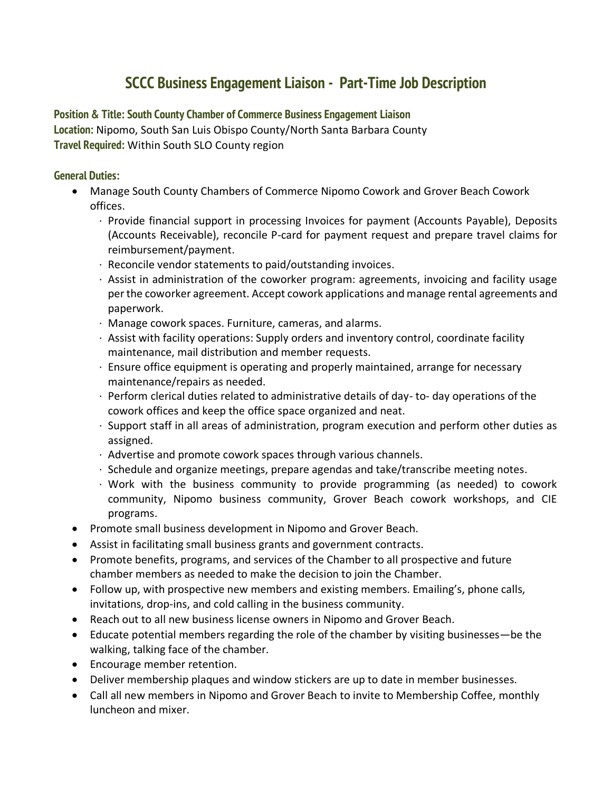# **SCCC Business Engagement Liaison - Part-Time Job Description**

# **Position & Title: South County Chamber of Commerce Business Engagement Liaison**

**Location:** Nipomo, South San Luis Obispo County/North Santa Barbara County **Travel Required:** Within South SLO County region

#### **General Duties:**

- Manage South County Chambers of Commerce Nipomo Cowork and Grover Beach Cowork offices.
	- · Provide financial support in processing Invoices for payment (Accounts Payable), Deposits (Accounts Receivable), reconcile P-card for payment request and prepare travel claims for reimbursement/payment.
	- · Reconcile vendor statements to paid/outstanding invoices.
	- · Assist in administration of the coworker program: agreements, invoicing and facility usage per the coworker agreement. Accept cowork applications and manage rental agreements and paperwork.
	- · Manage cowork spaces. Furniture, cameras, and alarms.
	- · Assist with facility operations: Supply orders and inventory control, coordinate facility maintenance, mail distribution and member requests.
	- · Ensure office equipment is operating and properly maintained, arrange for necessary maintenance/repairs as needed.
	- $\cdot$  Perform clerical duties related to administrative details of day-to-day operations of the cowork offices and keep the office space organized and neat.
	- · Support staff in all areas of administration, program execution and perform other duties as assigned.
	- · Advertise and promote cowork spaces through various channels.
	- · Schedule and organize meetings, prepare agendas and take/transcribe meeting notes.
	- · Work with the business community to provide programming (as needed) to cowork community, Nipomo business community, Grover Beach cowork workshops, and CIE programs.
- Promote small business development in Nipomo and Grover Beach.
- Assist in facilitating small business grants and government contracts.
- Promote benefits, programs, and services of the Chamber to all prospective and future chamber members as needed to make the decision to join the Chamber.
- Follow up, with prospective new members and existing members. Emailing's, phone calls, invitations, drop-ins, and cold calling in the business community.
- Reach out to all new business license owners in Nipomo and Grover Beach.
- Educate potential members regarding the role of the chamber by visiting businesses—be the walking, talking face of the chamber.
- Encourage member retention.
- Deliver membership plaques and window stickers are up to date in member businesses.
- Call all new members in Nipomo and Grover Beach to invite to Membership Coffee, monthly luncheon and mixer.